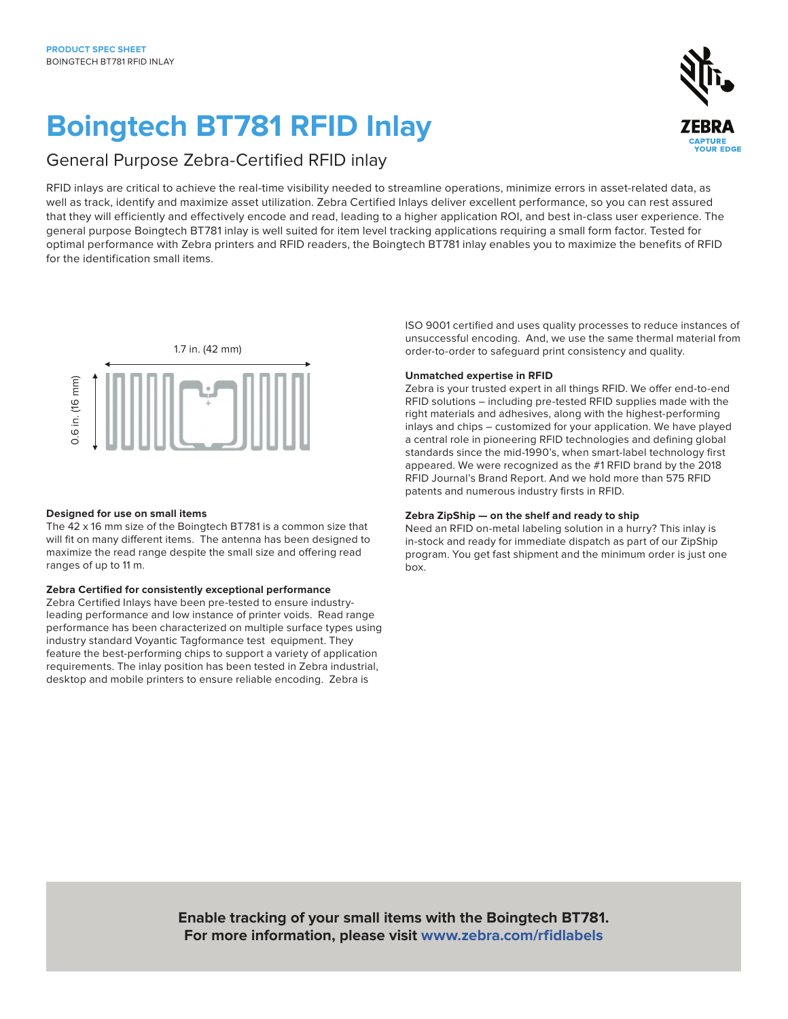# **Boingtech BT781 RFID Inlay**



RFID inlays are critical to achieve the real-time visibility needed to streamline operations, minimize errors in asset-related data, as well as track, identify and maximize asset utilization. Zebra Certified Inlays deliver excellent performance, so you can rest assured that they will efficiently and effectively encode and read, leading to a higher application ROI, and best in-class user experience. The general purpose Boingtech BT781 inlay is well suited for item level tracking applications requiring a small form factor. Tested for optimal performance with Zebra printers and RFID readers, the Boingtech BT781 inlay enables you to maximize the benefits of RFID for the identification small items.



### **Designed for use on small items**

The 42 x 16 mm size of the Boingtech BT781 is a common size that will fit on many different items. The antenna has been designed to maximize the read range despite the small size and offering read ranges of up to 11 m.

# **Zebra Certified for consistently exceptional performance**

Zebra Certified Inlays have been pre-tested to ensure industryleading performance and low instance of printer voids. Read range performance has been characterized on multiple surface types using industry standard Voyantic Tagformance test equipment. They feature the best-performing chips to support a variety of application requirements. The inlay position has been tested in Zebra industrial, desktop and mobile printers to ensure reliable encoding. Zebra is

ISO 9001 certified and uses quality processes to reduce instances of unsuccessful encoding. And, we use the same thermal material from order-to-order to safeguard print consistency and quality.

#### **Unmatched expertise in RFID**

Zebra is your trusted expert in all things RFID. We offer end-to-end RFID solutions – including pre-tested RFID supplies made with the right materials and adhesives, along with the highest-performing inlays and chips – customized for your application. We have played a central role in pioneering RFID technologies and defining global standards since the mid-1990's, when smart-label technology first appeared. We were recognized as the #1 RFID brand by the 2018 RFID Journal's Brand Report. And we hold more than 575 RFID patents and numerous industry firsts in RFID.

# **Zebra ZipShip — on the shelf and ready to ship**

Need an RFID on-metal labeling solution in a hurry? This inlay is in-stock and ready for immediate dispatch as part of our ZipShip program. You get fast shipment and the minimum order is just one box.

**Enable tracking of your small items with the Boingtech BT781. For more information, please visit [www.zebra.com/rfidlabels](https://www.zebra.com/us/en/products/supplies/rfid-labels-tags.html)**